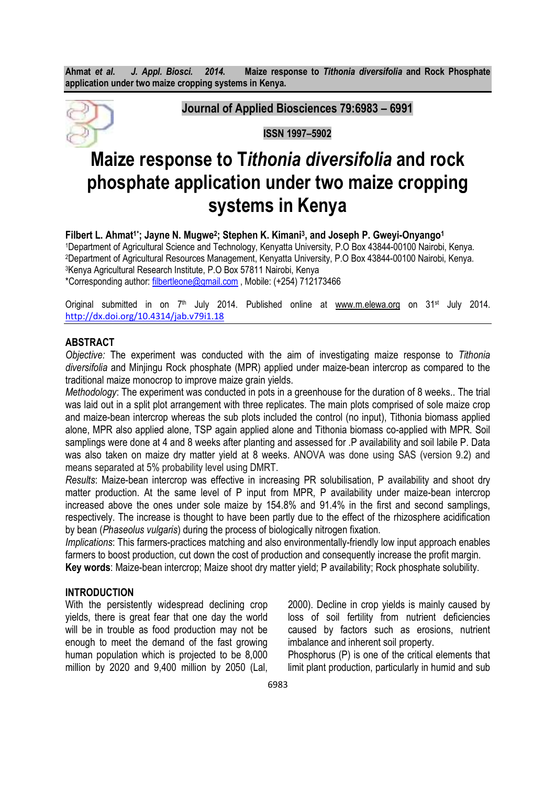

Journal of Applied Biosciences 79:6983 – 6991

ISSN 1997–5902

# Maize response to Tithonia diversifolia and rock phosphate application under two maize cropping systems in Kenya

Filbert L. Ahmat<sup>1\*</sup>; Jayne N. Mugwe<sup>2</sup>; Stephen K. Kimani<sup>3</sup>, and Joseph P. Gweyi-Onyango<sup>1</sup> <sup>1</sup>Department of Agricultural Science and Technology, Kenyatta University, P.O Box 43844-00100 Nairobi, Kenya. <sup>2</sup>Department of Agricultural Resources Management, Kenyatta University, P.O Box 43844-00100 Nairobi, Kenya.

<sup>3</sup>Kenya Agricultural Research Institute, P.O Box 57811 Nairobi, Kenya

\*Corresponding author: filbertleone@gmail.com , Mobile: (+254) 712173466

Original submitted in on  $7<sup>th</sup>$  July 2014. Published online at www.m.elewa.org on  $31<sup>st</sup>$  July 2014. http://dx.doi.org/10.4314/jab.v79i1.18

## ABSTRACT

Objective: The experiment was conducted with the aim of investigating maize response to Tithonia diversifolia and Minjingu Rock phosphate (MPR) applied under maize-bean intercrop as compared to the traditional maize monocrop to improve maize grain yields.

Methodology: The experiment was conducted in pots in a greenhouse for the duration of 8 weeks.. The trial was laid out in a split plot arrangement with three replicates. The main plots comprised of sole maize crop and maize-bean intercrop whereas the sub plots included the control (no input), Tithonia biomass applied alone, MPR also applied alone, TSP again applied alone and Tithonia biomass co-applied with MPR. Soil samplings were done at 4 and 8 weeks after planting and assessed for .P availability and soil labile P. Data was also taken on maize dry matter yield at 8 weeks. ANOVA was done using SAS (version 9.2) and means separated at 5% probability level using DMRT.

Results: Maize-bean intercrop was effective in increasing PR solubilisation, P availability and shoot dry matter production. At the same level of P input from MPR, P availability under maize-bean intercrop increased above the ones under sole maize by 154.8% and 91.4% in the first and second samplings, respectively. The increase is thought to have been partly due to the effect of the rhizosphere acidification by bean (Phaseolus vulgaris) during the process of biologically nitrogen fixation.

Implications: This farmers-practices matching and also environmentally-friendly low input approach enables farmers to boost production, cut down the cost of production and consequently increase the profit margin. Key words: Maize-bean intercrop; Maize shoot dry matter yield; P availability; Rock phosphate solubility.

## INTRODUCTION

With the persistently widespread declining crop yields, there is great fear that one day the world will be in trouble as food production may not be enough to meet the demand of the fast growing human population which is projected to be 8,000 million by 2020 and 9,400 million by 2050 (Lal,

2000). Decline in crop yields is mainly caused by loss of soil fertility from nutrient deficiencies caused by factors such as erosions, nutrient imbalance and inherent soil property.

Phosphorus (P) is one of the critical elements that limit plant production, particularly in humid and sub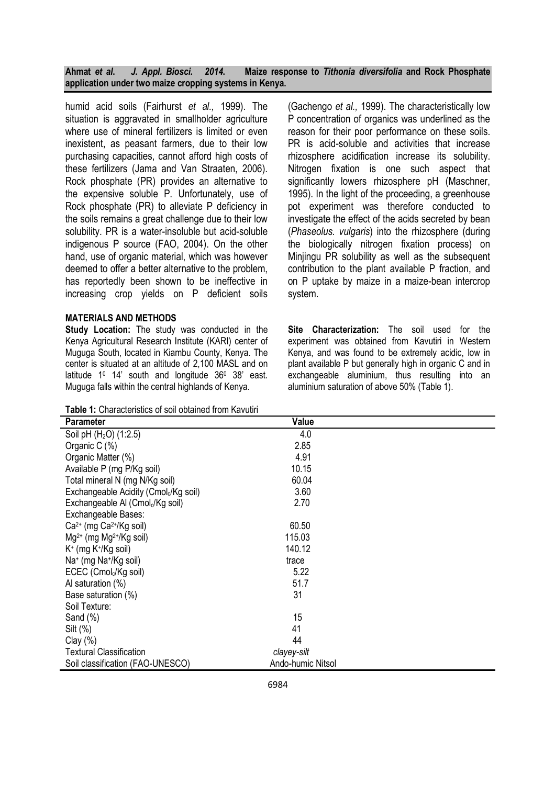humid acid soils (Fairhurst et al., 1999). The situation is aggravated in smallholder agriculture where use of mineral fertilizers is limited or even inexistent, as peasant farmers, due to their low purchasing capacities, cannot afford high costs of these fertilizers (Jama and Van Straaten, 2006). Rock phosphate (PR) provides an alternative to the expensive soluble P. Unfortunately, use of Rock phosphate (PR) to alleviate P deficiency in the soils remains a great challenge due to their low solubility. PR is a water-insoluble but acid-soluble indigenous P source (FAO, 2004). On the other hand, use of organic material, which was however deemed to offer a better alternative to the problem, has reportedly been shown to be ineffective in increasing crop yields on P deficient soils

#### MATERIALS AND METHODS

Study Location: The study was conducted in the Kenya Agricultural Research Institute (KARI) center of Muguga South, located in Kiambu County, Kenya. The center is situated at an altitude of 2,100 MASL and on latitude  $1^0$  14' south and longitude  $36^0$  38' east. Muguga falls within the central highlands of Kenya.

Table 1: Characteristics of soil obtained from Kavutiri

(Gachengo et al., 1999). The characteristically low P concentration of organics was underlined as the reason for their poor performance on these soils. PR is acid-soluble and activities that increase rhizosphere acidification increase its solubility. Nitrogen fixation is one such aspect that significantly lowers rhizosphere pH (Maschner, 1995). In the light of the proceeding, a greenhouse pot experiment was therefore conducted to investigate the effect of the acids secreted by bean (Phaseolus. vulgaris) into the rhizosphere (during the biologically nitrogen fixation process) on Minjingu PR solubility as well as the subsequent contribution to the plant available P fraction, and on P uptake by maize in a maize-bean intercrop system.

Site Characterization: The soil used for the experiment was obtained from Kavutiri in Western Kenya, and was found to be extremely acidic, low in plant available P but generally high in organic C and in exchangeable aluminium, thus resulting into an aluminium saturation of above 50% (Table 1).

| T <b>able T.</b> Onaracteristics of soil obtained from INAVULIT |                   |  |  |  |
|-----------------------------------------------------------------|-------------------|--|--|--|
| <b>Parameter</b>                                                | Value             |  |  |  |
| Soil pH (H <sub>2</sub> O) (1:2.5)                              | 4.0               |  |  |  |
| Organic C (%)                                                   | 2.85              |  |  |  |
| Organic Matter (%)                                              | 4.91              |  |  |  |
| Available P (mg P/Kg soil)                                      | 10.15             |  |  |  |
| Total mineral N (mg N/Kg soil)                                  | 60.04             |  |  |  |
| Exchangeable Acidity (Cmol <sub>c</sub> /Kg soil)               | 3.60              |  |  |  |
| Exchangeable AI (Cmol <sub>o</sub> /Kg soil)                    | 2.70              |  |  |  |
| Exchangeable Bases:                                             |                   |  |  |  |
| $Ca2+$ (mg $Ca2+/Kg$ soil)                                      | 60.50             |  |  |  |
| $Mg^{2+}$ (mg $Mg^{2+}/Kg$ soil)                                | 115.03            |  |  |  |
| $K^+$ (mg $K^+/Kg$ soil)                                        | 140.12            |  |  |  |
| Na <sup>+</sup> (mg Na <sup>+</sup> /Kg soil)                   | trace             |  |  |  |
| ECEC (Cmol <sub>c</sub> /Kg soil)                               | 5.22              |  |  |  |
| Al saturation (%)                                               | 51.7              |  |  |  |
| Base saturation (%)                                             | 31                |  |  |  |
| Soil Texture:                                                   |                   |  |  |  |
| Sand $(\%)$                                                     | 15                |  |  |  |
| $Silt (\%)$                                                     | 41                |  |  |  |
| Clay $(\%)$                                                     | 44                |  |  |  |
| <b>Textural Classification</b>                                  | clayey-silt       |  |  |  |
| Soil classification (FAO-UNESCO)                                | Ando-humic Nitsol |  |  |  |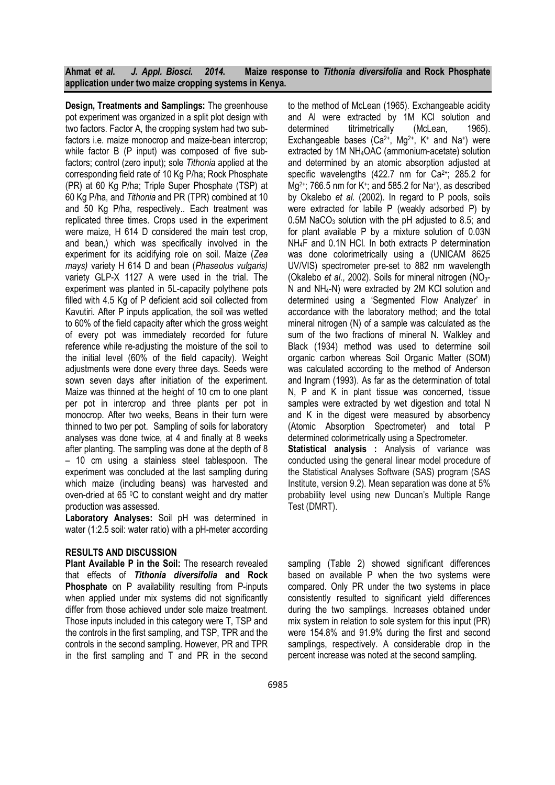Design, Treatments and Samplings: The greenhouse pot experiment was organized in a split plot design with two factors. Factor A, the cropping system had two subfactors i.e. maize monocrop and maize-bean intercrop; while factor B (P input) was composed of five subfactors; control (zero input); sole Tithonia applied at the corresponding field rate of 10 Kg P/ha; Rock Phosphate (PR) at 60 Kg P/ha; Triple Super Phosphate (TSP) at 60 Kg P/ha, and Tithonia and PR (TPR) combined at 10 and 50 Kg P/ha, respectively.. Each treatment was replicated three times. Crops used in the experiment were maize, H 614 D considered the main test crop, and bean,) which was specifically involved in the experiment for its acidifying role on soil. Maize (Zea mays) variety H 614 D and bean (Phaseolus vulgaris) variety GLP-X 1127 A were used in the trial. The experiment was planted in 5L-capacity polythene pots filled with 4.5 Kg of P deficient acid soil collected from Kavutiri. After P inputs application, the soil was wetted to 60% of the field capacity after which the gross weight of every pot was immediately recorded for future reference while re-adjusting the moisture of the soil to the initial level (60% of the field capacity). Weight adjustments were done every three days. Seeds were sown seven days after initiation of the experiment. Maize was thinned at the height of 10 cm to one plant per pot in intercrop and three plants per pot in monocrop. After two weeks, Beans in their turn were thinned to two per pot. Sampling of soils for laboratory analyses was done twice, at 4 and finally at 8 weeks after planting. The sampling was done at the depth of 8 – 10 cm using a stainless steel tablespoon. The experiment was concluded at the last sampling during which maize (including beans) was harvested and oven-dried at 65 0C to constant weight and dry matter production was assessed.

Laboratory Analyses: Soil pH was determined in water (1:2.5 soil: water ratio) with a pH-meter according

#### RESULTS AND DISCUSSION

Plant Available P in the Soil: The research revealed that effects of Tithonia diversifolia and Rock Phosphate on P availability resulting from P-inputs when applied under mix systems did not significantly differ from those achieved under sole maize treatment. Those inputs included in this category were T, TSP and the controls in the first sampling, and TSP, TPR and the controls in the second sampling. However, PR and TPR in the first sampling and T and PR in the second

to the method of McLean (1965). Exchangeable acidity and Al were extracted by 1M KCl solution and determined titrimetrically (McLean, 1965). Exchangeable bases (Ca<sup>2+</sup>, Mg<sup>2+</sup>, K<sup>+</sup> and Na<sup>+</sup>) were extracted by 1M NH4OAC (ammonium-acetate) solution and determined by an atomic absorption adjusted at specific wavelengths  $(422.7 \text{ nm} \text{ for } Ca^{2+}$ ; 285.2 for Mg<sup>2+</sup>; 766.5 nm for K<sup>+</sup>; and 585.2 for Na<sup>+</sup>), as described by Okalebo et al. (2002). In regard to P pools, soils were extracted for labile P (weakly adsorbed P) by  $0.5M$  NaCO<sub>3</sub> solution with the pH adjusted to  $8.5$ ; and for plant available P by a mixture solution of 0.03N NH4F and 0.1N HCl. In both extracts P determination was done colorimetrically using a (UNICAM 8625 UV/VIS) spectrometer pre-set to 882 nm wavelength (Okalebo et al., 2002). Soils for mineral nitrogen  $(NO<sub>3</sub> -$ N and NH4-N) were extracted by 2M KCl solution and determined using a 'Segmented Flow Analyzer' in accordance with the laboratory method; and the total mineral nitrogen (N) of a sample was calculated as the sum of the two fractions of mineral N. Walkley and Black (1934) method was used to determine soil organic carbon whereas Soil Organic Matter (SOM) was calculated according to the method of Anderson and Ingram (1993). As far as the determination of total N, P and K in plant tissue was concerned, tissue samples were extracted by wet digestion and total N and K in the digest were measured by absorbency (Atomic Absorption Spectrometer) and total P determined colorimetrically using a Spectrometer.

Statistical analysis : Analysis of variance was conducted using the general linear model procedure of the Statistical Analyses Software (SAS) program (SAS Institute, version 9.2). Mean separation was done at 5% probability level using new Duncan's Multiple Range Test (DMRT).

sampling (Table 2) showed significant differences based on available P when the two systems were compared. Only PR under the two systems in place consistently resulted to significant yield differences during the two samplings. Increases obtained under mix system in relation to sole system for this input (PR) were 154.8% and 91.9% during the first and second samplings, respectively. A considerable drop in the percent increase was noted at the second sampling.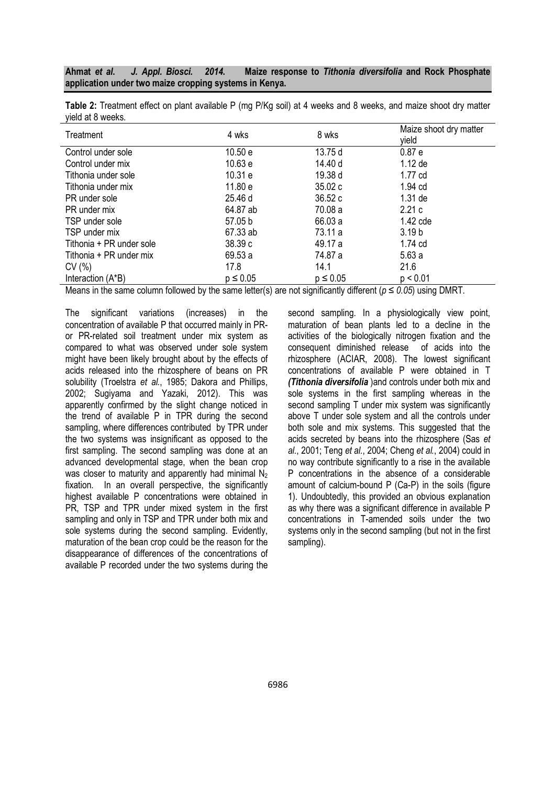Ahmat et al. J. Appl. Biosci. 2014. Maize response to Tithonia diversifolia and Rock Phosphate application under two maize cropping systems in Kenya.

| Table 2: Treatment effect on plant available P (mg P/Kg soil) at 4 weeks and 8 weeks, and maize shoot dry matter |  |  |  |
|------------------------------------------------------------------------------------------------------------------|--|--|--|
| yield at 8 weeks.                                                                                                |  |  |  |

| Treatment                | 4 wks         | 8 wks         | Maize shoot dry matter<br>vield |
|--------------------------|---------------|---------------|---------------------------------|
| Control under sole       | 10.50 e       | 13.75 d       | 0.87 e                          |
| Control under mix        | 10.63 e       | 14.40 d       | $1.12$ de                       |
| Tithonia under sole      | 10.31 e       | 19.38 d       | 1.77 cd                         |
| Tithonia under mix       | 11.80 e       | 35.02c        | 1.94 cd                         |
| PR under sole            | 25.46 d       | 36.52c        | 1.31 de                         |
| PR under mix             | 64.87 ab      | 70.08 a       | 2.21c                           |
| TSP under sole           | 57.05 b       | 66.03 a       | 1.42 cde                        |
| TSP under mix            | 67.33 ab      | 73.11 a       | 3.19 <sub>b</sub>               |
| Tithonia + PR under sole | 38.39c        | 49.17 a       | $1.74$ cd                       |
| Tithonia + PR under mix  | 69.53 a       | 74.87 a       | 5.63a                           |
| CV(%)                    | 17.8          | 14.1          | 21.6                            |
| Interaction (A*B)        | $p \leq 0.05$ | $p \leq 0.05$ | p < 0.01                        |

Means in the same column followed by the same letter(s) are not significantly different ( $p \le 0.05$ ) using DMRT.

The significant variations (increases) in the concentration of available P that occurred mainly in PRor PR-related soil treatment under mix system as compared to what was observed under sole system might have been likely brought about by the effects of acids released into the rhizosphere of beans on PR solubility (Troelstra et al., 1985; Dakora and Phillips, 2002; Sugiyama and Yazaki, 2012). This was apparently confirmed by the slight change noticed in the trend of available P in TPR during the second sampling, where differences contributed by TPR under the two systems was insignificant as opposed to the first sampling. The second sampling was done at an advanced developmental stage, when the bean crop was closer to maturity and apparently had minimal  $N_2$ fixation. In an overall perspective, the significantly highest available P concentrations were obtained in PR, TSP and TPR under mixed system in the first sampling and only in TSP and TPR under both mix and sole systems during the second sampling. Evidently, maturation of the bean crop could be the reason for the disappearance of differences of the concentrations of available P recorded under the two systems during the

second sampling. In a physiologically view point, maturation of bean plants led to a decline in the activities of the biologically nitrogen fixation and the consequent diminished release of acids into the rhizosphere (ACIAR, 2008). The lowest significant concentrations of available P were obtained in T (Tithonia diversifolia) and controls under both mix and sole systems in the first sampling whereas in the second sampling T under mix system was significantly above T under sole system and all the controls under both sole and mix systems. This suggested that the acids secreted by beans into the rhizosphere (Sas et al., 2001; Teng et al., 2004; Cheng et al., 2004) could in no way contribute significantly to a rise in the available P concentrations in the absence of a considerable amount of calcium-bound P (Ca-P) in the soils (figure 1). Undoubtedly, this provided an obvious explanation as why there was a significant difference in available P concentrations in T-amended soils under the two systems only in the second sampling (but not in the first sampling).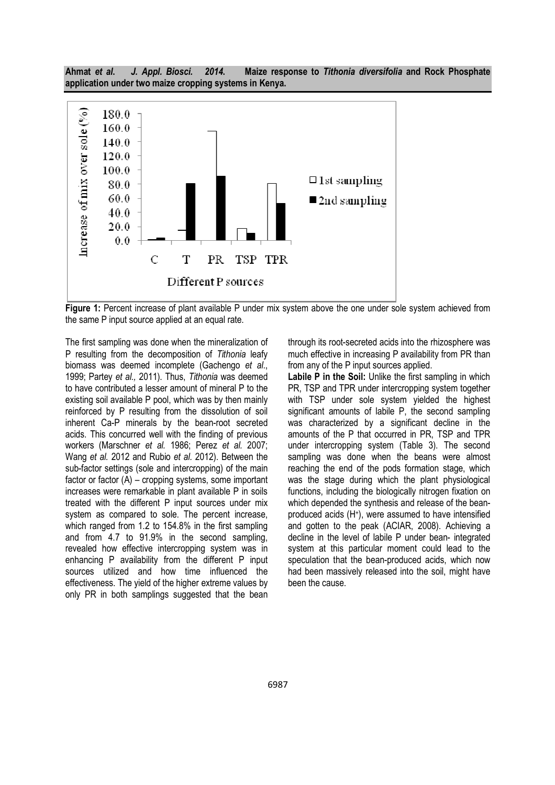

Figure 1: Percent increase of plant available P under mix system above the one under sole system achieved from the same P input source applied at an equal rate.

The first sampling was done when the mineralization of P resulting from the decomposition of Tithonia leafy biomass was deemed incomplete (Gachengo et al., 1999; Partey et al., 2011). Thus, Tithonia was deemed to have contributed a lesser amount of mineral P to the existing soil available P pool, which was by then mainly reinforced by P resulting from the dissolution of soil inherent Ca-P minerals by the bean-root secreted acids. This concurred well with the finding of previous workers (Marschner et al. 1986; Perez et al. 2007; Wang et al. 2012 and Rubio et al. 2012). Between the sub-factor settings (sole and intercropping) of the main factor or factor (A) – cropping systems, some important increases were remarkable in plant available P in soils treated with the different P input sources under mix system as compared to sole. The percent increase, which ranged from 1.2 to 154.8% in the first sampling and from 4.7 to 91.9% in the second sampling, revealed how effective intercropping system was in enhancing P availability from the different P input sources utilized and how time influenced the effectiveness. The yield of the higher extreme values by only PR in both samplings suggested that the bean through its root-secreted acids into the rhizosphere was much effective in increasing P availability from PR than from any of the P input sources applied.

Labile P in the Soil: Unlike the first sampling in which PR, TSP and TPR under intercropping system together with TSP under sole system yielded the highest significant amounts of labile P, the second sampling was characterized by a significant decline in the amounts of the P that occurred in PR, TSP and TPR under intercropping system (Table 3). The second sampling was done when the beans were almost reaching the end of the pods formation stage, which was the stage during which the plant physiological functions, including the biologically nitrogen fixation on which depended the synthesis and release of the beanproduced acids (H<sup>+</sup> ), were assumed to have intensified and gotten to the peak (ACIAR, 2008). Achieving a decline in the level of labile P under bean- integrated system at this particular moment could lead to the speculation that the bean-produced acids, which now had been massively released into the soil, might have been the cause.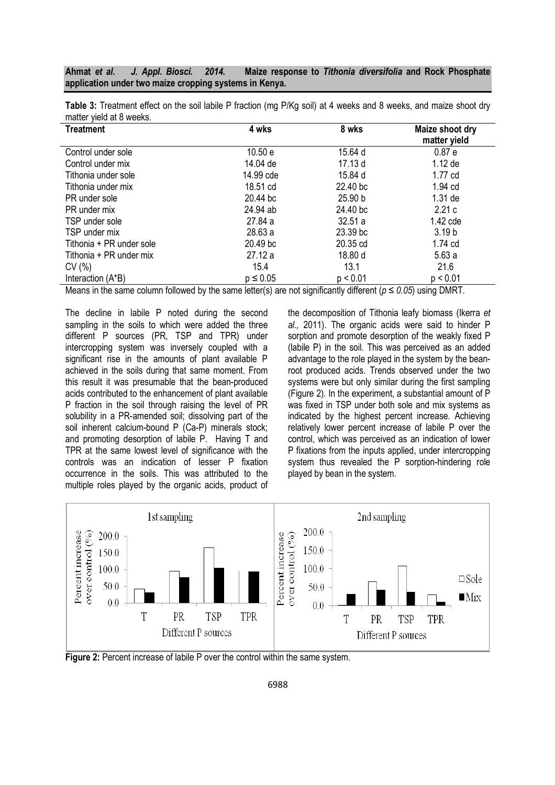Ahmat et al. J. Appl. Biosci. 2014. Maize response to Tithonia diversifolia and Rock Phosphate application under two maize cropping systems in Kenya.

| matter yield at 6 weeks. |               |          |                                 |
|--------------------------|---------------|----------|---------------------------------|
| <b>Treatment</b>         | 4 wks         | 8 wks    | Maize shoot dry<br>matter yield |
| Control under sole       | 10.50 e       | 15.64 d  | 0.87e                           |
| Control under mix        | 14.04 de      | 17.13d   | $1.12$ de                       |
| Tithonia under sole      | 14.99 cde     | 15.84 d  | $1.77$ cd                       |
| Tithonia under mix       | 18.51 cd      | 22.40 bc | 1.94 cd                         |
| PR under sole            | 20.44 bc      | 25.90 b  | 1.31 de                         |
| PR under mix             | 24.94 ab      | 24.40 bc | 2.21c                           |
| TSP under sole           | 27.84 a       | 32.51a   | 1.42 cde                        |
| TSP under mix            | 28.63a        | 23.39 bc | 3.19 <sub>b</sub>               |
| Tithonia + PR under sole | 20.49 bc      | 20.35 cd | $1.74$ cd                       |
| Tithonia + PR under mix  | 27.12a        | 18.80 d  | 5.63a                           |
| CV(%)                    | 15.4          | 13.1     | 21.6                            |
| Interaction (A*B)        | $p \leq 0.05$ | p < 0.01 | p < 0.01                        |

Table 3: Treatment effect on the soil labile P fraction (mg P/Kg soil) at 4 weeks and 8 weeks, and maize shoot dry matter yield at 8 weeks.

Means in the same column followed by the same letter(s) are not significantly different ( $p \le 0.05$ ) using DMRT.

The decline in labile P noted during the second sampling in the soils to which were added the three different P sources (PR, TSP and TPR) under intercropping system was inversely coupled with a significant rise in the amounts of plant available P achieved in the soils during that same moment. From this result it was presumable that the bean-produced acids contributed to the enhancement of plant available P fraction in the soil through raising the level of PR solubility in a PR-amended soil; dissolving part of the soil inherent calcium-bound P (Ca-P) minerals stock; and promoting desorption of labile P. Having T and TPR at the same lowest level of significance with the controls was an indication of lesser P fixation occurrence in the soils. This was attributed to the multiple roles played by the organic acids, product of the decomposition of Tithonia leafy biomass (Ikerra et al., 2011). The organic acids were said to hinder P sorption and promote desorption of the weakly fixed P (labile P) in the soil. This was perceived as an added advantage to the role played in the system by the beanroot produced acids. Trends observed under the two systems were but only similar during the first sampling (Figure 2). In the experiment, a substantial amount of P was fixed in TSP under both sole and mix systems as indicated by the highest percent increase. Achieving relatively lower percent increase of labile P over the control, which was perceived as an indication of lower P fixations from the inputs applied, under intercropping system thus revealed the P sorption-hindering role played by bean in the system.



Figure 2: Percent increase of labile P over the control within the same system.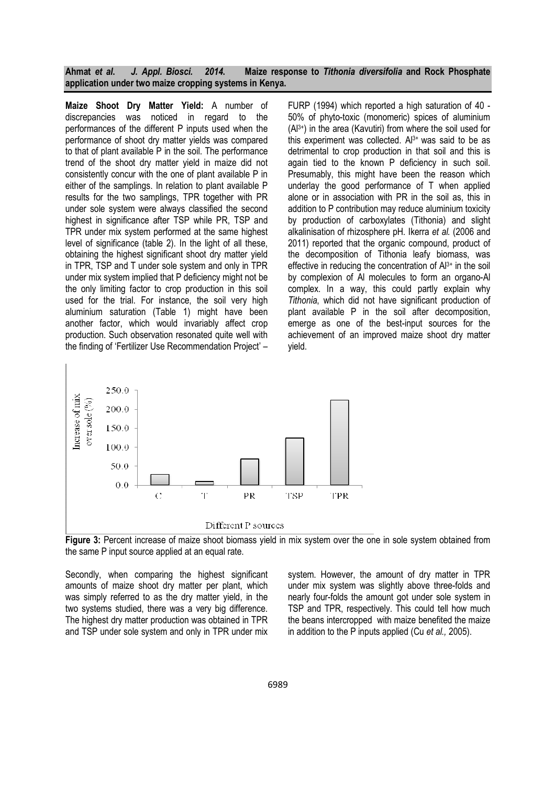Maize Shoot Dry Matter Yield: A number of discrepancies was noticed in regard to the performances of the different P inputs used when the performance of shoot dry matter yields was compared to that of plant available P in the soil. The performance trend of the shoot dry matter yield in maize did not consistently concur with the one of plant available P in either of the samplings. In relation to plant available P results for the two samplings, TPR together with PR under sole system were always classified the second highest in significance after TSP while PR. TSP and TPR under mix system performed at the same highest level of significance (table 2). In the light of all these, obtaining the highest significant shoot dry matter yield in TPR, TSP and T under sole system and only in TPR under mix system implied that P deficiency might not be the only limiting factor to crop production in this soil used for the trial. For instance, the soil very high aluminium saturation (Table 1) might have been another factor, which would invariably affect crop production. Such observation resonated quite well with the finding of 'Fertilizer Use Recommendation Project' –

FURP (1994) which reported a high saturation of 40 - 50% of phyto-toxic (monomeric) spices of aluminium (Al3+) in the area (Kavutiri) from where the soil used for this experiment was collected. Al3+ was said to be as detrimental to crop production in that soil and this is again tied to the known P deficiency in such soil. Presumably, this might have been the reason which underlay the good performance of T when applied alone or in association with PR in the soil as, this in addition to P contribution may reduce aluminium toxicity by production of carboxylates (Tithonia) and slight alkalinisation of rhizosphere pH. Ikerra et al. (2006 and 2011) reported that the organic compound, product of the decomposition of Tithonia leafy biomass, was effective in reducing the concentration of Al<sup>3+</sup> in the soil by complexion of Al molecules to form an organo-Al complex. In a way, this could partly explain why Tithonia, which did not have significant production of plant available P in the soil after decomposition, emerge as one of the best-input sources for the achievement of an improved maize shoot dry matter yield.



Figure 3: Percent increase of maize shoot biomass yield in mix system over the one in sole system obtained from the same P input source applied at an equal rate.

Secondly, when comparing the highest significant amounts of maize shoot dry matter per plant, which was simply referred to as the dry matter yield, in the two systems studied, there was a very big difference. The highest dry matter production was obtained in TPR and TSP under sole system and only in TPR under mix system. However, the amount of dry matter in TPR under mix system was slightly above three-folds and nearly four-folds the amount got under sole system in TSP and TPR, respectively. This could tell how much the beans intercropped with maize benefited the maize in addition to the P inputs applied (Cu et al., 2005).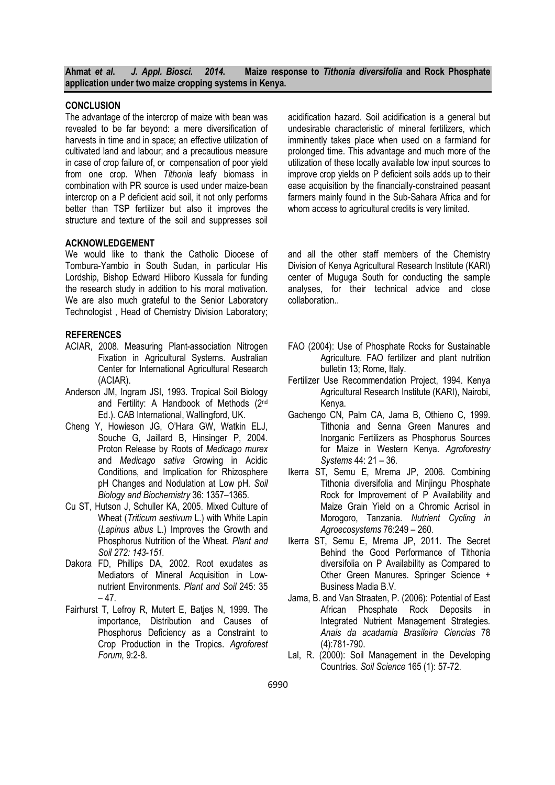#### **CONCLUSION**

The advantage of the intercrop of maize with bean was revealed to be far beyond: a mere diversification of harvests in time and in space; an effective utilization of cultivated land and labour; and a precautious measure in case of crop failure of, or compensation of poor yield from one crop. When Tithonia leafy biomass in combination with PR source is used under maize-bean intercrop on a P deficient acid soil, it not only performs better than TSP fertilizer but also it improves the structure and texture of the soil and suppresses soil

#### ACKNOWLEDGEMENT

We would like to thank the Catholic Diocese of Tombura-Yambio in South Sudan, in particular His Lordship, Bishop Edward Hiiboro Kussala for funding the research study in addition to his moral motivation. We are also much grateful to the Senior Laboratory Technologist , Head of Chemistry Division Laboratory;

#### REFERENCES

- ACIAR, 2008. Measuring Plant-association Nitrogen Fixation in Agricultural Systems. Australian Center for International Agricultural Research (ACIAR).
- Anderson JM, Ingram JSI, 1993. Tropical Soil Biology and Fertility: A Handbook of Methods (2nd Ed.). CAB International, Wallingford, UK.
- Cheng Y, Howieson JG, O'Hara GW, Watkin ELJ, Souche G, Jaillard B, Hinsinger P, 2004. Proton Release by Roots of Medicago murex and Medicago sativa Growing in Acidic Conditions, and Implication for Rhizosphere pH Changes and Nodulation at Low pH. Soil Biology and Biochemistry 36: 1357–1365.
- Cu ST, Hutson J, Schuller KA, 2005. Mixed Culture of Wheat (Triticum aestivum L.) with White Lapin (Lapinus albus L.) Improves the Growth and Phosphorus Nutrition of the Wheat. Plant and Soil 272: 143-151.
- Dakora FD, Phillips DA, 2002. Root exudates as Mediators of Mineral Acquisition in Lownutrient Environments. Plant and Soil 245: 35  $-47.$
- Fairhurst T, Lefroy R, Mutert E, Batjes N, 1999. The importance, Distribution and Causes of Phosphorus Deficiency as a Constraint to Crop Production in the Tropics. Agroforest Forum, 9:2-8.

acidification hazard. Soil acidification is a general but undesirable characteristic of mineral fertilizers, which imminently takes place when used on a farmland for prolonged time. This advantage and much more of the utilization of these locally available low input sources to improve crop yields on P deficient soils adds up to their ease acquisition by the financially-constrained peasant farmers mainly found in the Sub-Sahara Africa and for whom access to agricultural credits is very limited.

and all the other staff members of the Chemistry Division of Kenya Agricultural Research Institute (KARI) center of Muguga South for conducting the sample analyses, for their technical advice and close collaboration..

- FAO (2004): Use of Phosphate Rocks for Sustainable Agriculture. FAO fertilizer and plant nutrition bulletin 13; Rome, Italy.
- Fertilizer Use Recommendation Project, 1994. Kenya Agricultural Research Institute (KARI), Nairobi, Kenya.
- Gachengo CN, Palm CA, Jama B, Othieno C, 1999. Tithonia and Senna Green Manures and Inorganic Fertilizers as Phosphorus Sources for Maize in Western Kenya. Agroforestry Systems 44: 21 – 36.
- Ikerra ST, Semu E, Mrema JP, 2006. Combining Tithonia diversifolia and Minjingu Phosphate Rock for Improvement of P Availability and Maize Grain Yield on a Chromic Acrisol in Morogoro, Tanzania. Nutrient Cycling in Agroecosystems 76:249 – 260.
- Ikerra ST, Semu E, Mrema JP, 2011. The Secret Behind the Good Performance of Tithonia diversifolia on P Availability as Compared to Other Green Manures. Springer Science + Business Madia B.V.
- Jama, B. and Van Straaten, P. (2006): Potential of East African Phosphate Rock Deposits in Integrated Nutrient Management Strategies. Anais da acadamia Brasileira Ciencias 78 (4):781-790.
- Lal, R. (2000): Soil Management in the Developing Countries. Soil Science 165 (1): 57-72.